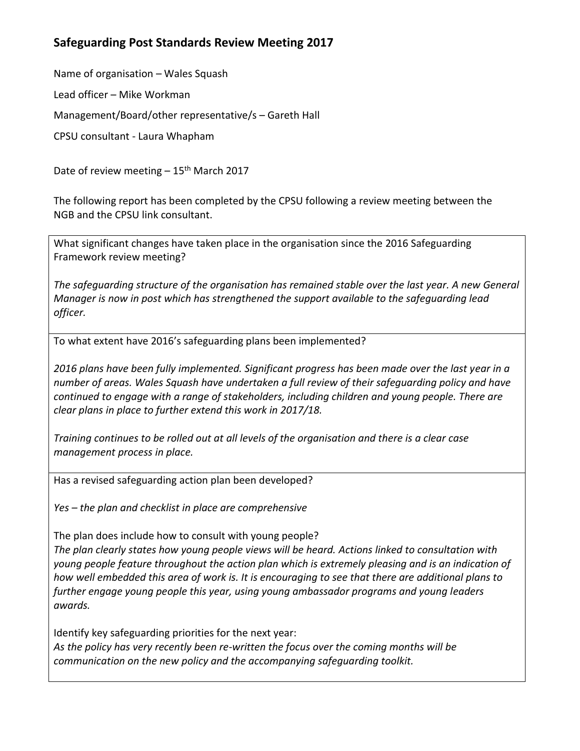## **Safeguarding Post Standards Review Meeting 2017**

Name of organisation – Wales Squash

Lead officer – Mike Workman

Management/Board/other representative/s – Gareth Hall

CPSU consultant - Laura Whapham

Date of review meeting  $-15<sup>th</sup>$  March 2017

The following report has been completed by the CPSU following a review meeting between the NGB and the CPSU link consultant.

What significant changes have taken place in the organisation since the 2016 Safeguarding Framework review meeting?

*The safeguarding structure of the organisation has remained stable over the last year. A new General Manager is now in post which has strengthened the support available to the safeguarding lead officer.* 

To what extent have 2016's safeguarding plans been implemented?

*2016 plans have been fully implemented. Significant progress has been made over the last year in a number of areas. Wales Squash have undertaken a full review of their safeguarding policy and have continued to engage with a range of stakeholders, including children and young people. There are clear plans in place to further extend this work in 2017/18.* 

*Training continues to be rolled out at all levels of the organisation and there is a clear case management process in place.*

Has a revised safeguarding action plan been developed?

*Yes – the plan and checklist in place are comprehensive*

The plan does include how to consult with young people?

*The plan clearly states how young people views will be heard. Actions linked to consultation with young people feature throughout the action plan which is extremely pleasing and is an indication of how well embedded this area of work is. It is encouraging to see that there are additional plans to further engage young people this year, using young ambassador programs and young leaders awards.*

Identify key safeguarding priorities for the next year: *As the policy has very recently been re-written the focus over the coming months will be* 

*communication on the new policy and the accompanying safeguarding toolkit.*